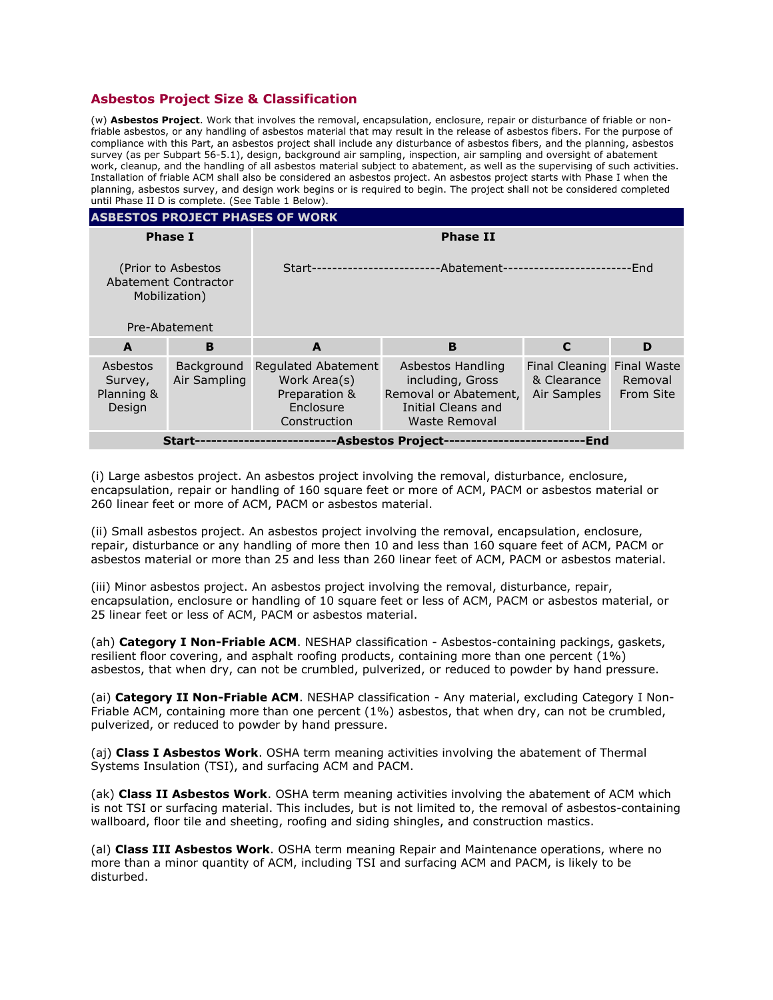## **Asbestos Project Size & Classification**

(w) **Asbestos Project**. Work that involves the removal, encapsulation, enclosure, repair or disturbance of friable or nonfriable asbestos, or any handling of asbestos material that may result in the release of asbestos fibers. For the purpose of compliance with this Part, an asbestos project shall include any disturbance of asbestos fibers, and the planning, asbestos survey (as per Subpart 56-5.1), design, background air sampling, inspection, air sampling and oversight of abatement work, cleanup, and the handling of all asbestos material subject to abatement, as well as the supervising of such activities. Installation of friable ACM shall also be considered an asbestos project. An asbestos project starts with Phase I when the planning, asbestos survey, and design work begins or is required to begin. The project shall not be considered completed until Phase II D is complete. (See Table 1 Below).

| <b>ASBESTOS PROJECT PHASES OF WORK</b>                      |                            |                                                                                   |                                                                                                       |                                                                 |                      |
|-------------------------------------------------------------|----------------------------|-----------------------------------------------------------------------------------|-------------------------------------------------------------------------------------------------------|-----------------------------------------------------------------|----------------------|
| <b>Phase I</b>                                              |                            | <b>Phase II</b>                                                                   |                                                                                                       |                                                                 |                      |
| (Prior to Asbestos<br>Abatement Contractor<br>Mobilization) |                            | -Abatement-<br>·End<br>Start-                                                     |                                                                                                       |                                                                 |                      |
| Pre-Abatement                                               |                            |                                                                                   |                                                                                                       |                                                                 |                      |
| A                                                           | B                          | A                                                                                 | B                                                                                                     | $\mathbf C$                                                     | D                    |
| Asbestos<br>Survey,<br>Planning &<br>Design                 | Background<br>Air Sampling | Regulated Abatement<br>Work Area(s)<br>Preparation &<br>Enclosure<br>Construction | Asbestos Handling<br>including, Gross<br>Removal or Abatement,<br>Initial Cleans and<br>Waste Removal | <b>Final Cleaning Final Waste</b><br>& Clearance<br>Air Samples | Removal<br>From Site |
| End<br>-Asbestos Project-<br>Start-                         |                            |                                                                                   |                                                                                                       |                                                                 |                      |

(i) Large asbestos project. An asbestos project involving the removal, disturbance, enclosure, encapsulation, repair or handling of 160 square feet or more of ACM, PACM or asbestos material or 260 linear feet or more of ACM, PACM or asbestos material.

(ii) Small asbestos project. An asbestos project involving the removal, encapsulation, enclosure, repair, disturbance or any handling of more then 10 and less than 160 square feet of ACM, PACM or asbestos material or more than 25 and less than 260 linear feet of ACM, PACM or asbestos material.

(iii) Minor asbestos project. An asbestos project involving the removal, disturbance, repair, encapsulation, enclosure or handling of 10 square feet or less of ACM, PACM or asbestos material, or 25 linear feet or less of ACM, PACM or asbestos material.

(ah) **Category I Non-Friable ACM**. NESHAP classification - Asbestos-containing packings, gaskets, resilient floor covering, and asphalt roofing products, containing more than one percent (1%) asbestos, that when dry, can not be crumbled, pulverized, or reduced to powder by hand pressure.

(ai) **Category II Non-Friable ACM**. NESHAP classification - Any material, excluding Category I Non-Friable ACM, containing more than one percent (1%) asbestos, that when dry, can not be crumbled, pulverized, or reduced to powder by hand pressure.

(aj) **Class I Asbestos Work**. OSHA term meaning activities involving the abatement of Thermal Systems Insulation (TSI), and surfacing ACM and PACM.

(ak) **Class II Asbestos Work**. OSHA term meaning activities involving the abatement of ACM which is not TSI or surfacing material. This includes, but is not limited to, the removal of asbestos-containing wallboard, floor tile and sheeting, roofing and siding shingles, and construction mastics.

(al) **Class III Asbestos Work**. OSHA term meaning Repair and Maintenance operations, where no more than a minor quantity of ACM, including TSI and surfacing ACM and PACM, is likely to be disturbed.